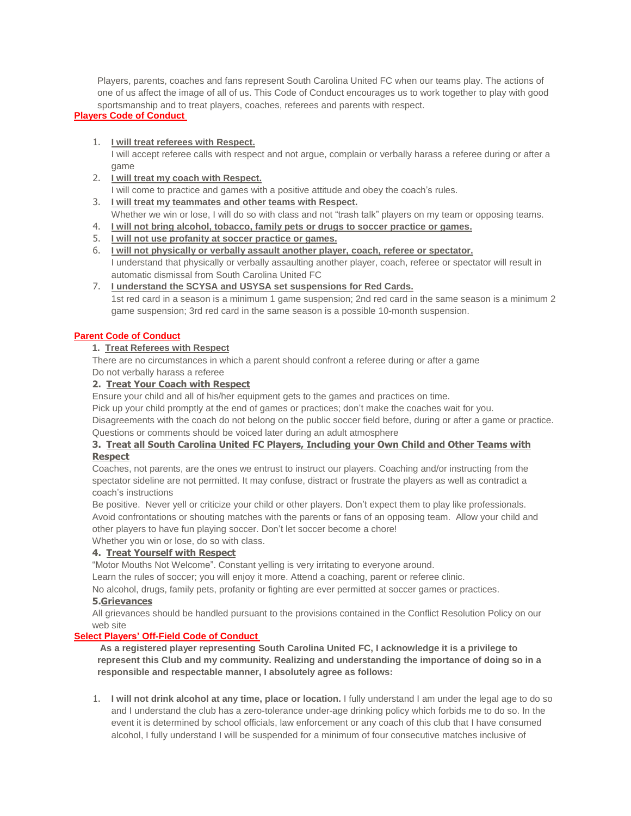Players, parents, coaches and fans represent South Carolina United FC when our teams play. The actions of one of us affect the image of all of us. This Code of Conduct encourages us to work together to play with good sportsmanship and to treat players, coaches, referees and parents with respect.

# **Players Code of Conduct**

# 1. **I will treat referees with Respect.**

I will accept referee calls with respect and not argue, complain or verbally harass a referee during or after a game

2. **I will treat my coach with Respect.**

I will come to practice and games with a positive attitude and obey the coach's rules.

- 3. **I will treat my teammates and other teams with Respect.** Whether we win or lose, I will do so with class and not "trash talk" players on my team or opposing teams.
- 4. **I will not bring alcohol, tobacco, family pets or drugs to soccer practice or games.**
- 5. **I will not use profanity at soccer practice or games.**
- 6. **I will not physically or verbally assault another player, coach, referee or spectator.** I understand that physically or verbally assaulting another player, coach, referee or spectator will result in automatic dismissal from South Carolina United FC

#### 7. **I understand the SCYSA and USYSA set suspensions for Red Cards.**

1st red card in a season is a minimum 1 game suspension; 2nd red card in the same season is a minimum 2 game suspension; 3rd red card in the same season is a possible 10-month suspension.

# **Parent Code of Conduct**

#### **1. Treat Referees with Respect**

There are no circumstances in which a parent should confront a referee during or after a game Do not verbally harass a referee

#### **2. Treat Your Coach with Respect**

Ensure your child and all of his/her equipment gets to the games and practices on time.

Pick up your child promptly at the end of games or practices; don't make the coaches wait for you. Disagreements with the coach do not belong on the public soccer field before, during or after a game or practice. Questions or comments should be voiced later during an adult atmosphere

# **3. Treat all South Carolina United FC Players, Including your Own Child and Other Teams with Respect**

Coaches, not parents, are the ones we entrust to instruct our players. Coaching and/or instructing from the spectator sideline are not permitted. It may confuse, distract or frustrate the players as well as contradict a coach's instructions

Be positive. Never yell or criticize your child or other players. Don't expect them to play like professionals. Avoid confrontations or shouting matches with the parents or fans of an opposing team. Allow your child and other players to have fun playing soccer. Don't let soccer become a chore!

Whether you win or lose, do so with class.

# **4. Treat Yourself with Respect**

"Motor Mouths Not Welcome". Constant yelling is very irritating to everyone around.

Learn the rules of soccer; you will enjoy it more. Attend a coaching, parent or referee clinic.

No alcohol, drugs, family pets, profanity or fighting are ever permitted at soccer games or practices.

# **5.Grievances**

All grievances should be handled pursuant to the provisions contained in the Conflict Resolution Policy on our web site

# **Select Players' Off-Field Code of Conduct**

**As a registered player representing South Carolina United FC, I acknowledge it is a privilege to represent this Club and my community. Realizing and understanding the importance of doing so in a responsible and respectable manner, I absolutely agree as follows:**

1. **I will not drink alcohol at any time, place or location.** I fully understand I am under the legal age to do so and I understand the club has a zero-tolerance under-age drinking policy which forbids me to do so. In the event it is determined by school officials, law enforcement or any coach of this club that I have consumed alcohol, I fully understand I will be suspended for a minimum of four consecutive matches inclusive of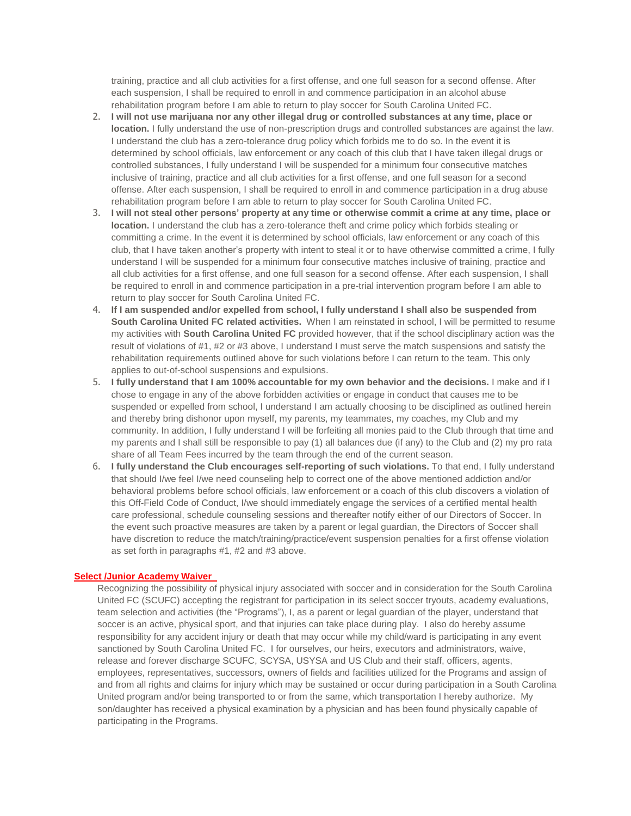training, practice and all club activities for a first offense, and one full season for a second offense. After each suspension, I shall be required to enroll in and commence participation in an alcohol abuse rehabilitation program before I am able to return to play soccer for South Carolina United FC.

- 2. I will not use marijuana nor any other illegal drug or controlled substances at any time, place or **location.** I fully understand the use of non-prescription drugs and controlled substances are against the law. I understand the club has a zero-tolerance drug policy which forbids me to do so. In the event it is determined by school officials, law enforcement or any coach of this club that I have taken illegal drugs or controlled substances, I fully understand I will be suspended for a minimum four consecutive matches inclusive of training, practice and all club activities for a first offense, and one full season for a second offense. After each suspension, I shall be required to enroll in and commence participation in a drug abuse rehabilitation program before I am able to return to play soccer for South Carolina United FC.
- 3. I will not steal other persons' property at any time or otherwise commit a crime at any time, place or **location.** I understand the club has a zero-tolerance theft and crime policy which forbids stealing or committing a crime. In the event it is determined by school officials, law enforcement or any coach of this club, that I have taken another's property with intent to steal it or to have otherwise committed a crime, I fully understand I will be suspended for a minimum four consecutive matches inclusive of training, practice and all club activities for a first offense, and one full season for a second offense. After each suspension, I shall be required to enroll in and commence participation in a pre-trial intervention program before I am able to return to play soccer for South Carolina United FC.
- 4. **If I am suspended and/or expelled from school, I fully understand I shall also be suspended from South Carolina United FC related activities.** When I am reinstated in school, I will be permitted to resume my activities with **South Carolina United FC** provided however, that if the school disciplinary action was the result of violations of #1, #2 or #3 above, I understand I must serve the match suspensions and satisfy the rehabilitation requirements outlined above for such violations before I can return to the team. This only applies to out-of-school suspensions and expulsions.
- 5. **I fully understand that I am 100% accountable for my own behavior and the decisions.** I make and if I chose to engage in any of the above forbidden activities or engage in conduct that causes me to be suspended or expelled from school, I understand I am actually choosing to be disciplined as outlined herein and thereby bring dishonor upon myself, my parents, my teammates, my coaches, my Club and my community. In addition, I fully understand I will be forfeiting all monies paid to the Club through that time and my parents and I shall still be responsible to pay (1) all balances due (if any) to the Club and (2) my pro rata share of all Team Fees incurred by the team through the end of the current season.
- 6. **I fully understand the Club encourages self-reporting of such violations.** To that end, I fully understand that should I/we feel I/we need counseling help to correct one of the above mentioned addiction and/or behavioral problems before school officials, law enforcement or a coach of this club discovers a violation of this Off-Field Code of Conduct, I/we should immediately engage the services of a certified mental health care professional, schedule counseling sessions and thereafter notify either of our Directors of Soccer. In the event such proactive measures are taken by a parent or legal guardian, the Directors of Soccer shall have discretion to reduce the match/training/practice/event suspension penalties for a first offense violation as set forth in paragraphs #1, #2 and #3 above.

#### **Select /Junior Academy Waiver**

Recognizing the possibility of physical injury associated with soccer and in consideration for the South Carolina United FC (SCUFC) accepting the registrant for participation in its select soccer tryouts, academy evaluations, team selection and activities (the "Programs"), I, as a parent or legal guardian of the player, understand that soccer is an active, physical sport, and that injuries can take place during play. I also do hereby assume responsibility for any accident injury or death that may occur while my child/ward is participating in any event sanctioned by South Carolina United FC. I for ourselves, our heirs, executors and administrators, waive, release and forever discharge SCUFC, SCYSA, USYSA and US Club and their staff, officers, agents, employees, representatives, successors, owners of fields and facilities utilized for the Programs and assign of and from all rights and claims for injury which may be sustained or occur during participation in a South Carolina United program and/or being transported to or from the same, which transportation I hereby authorize. My son/daughter has received a physical examination by a physician and has been found physically capable of participating in the Programs.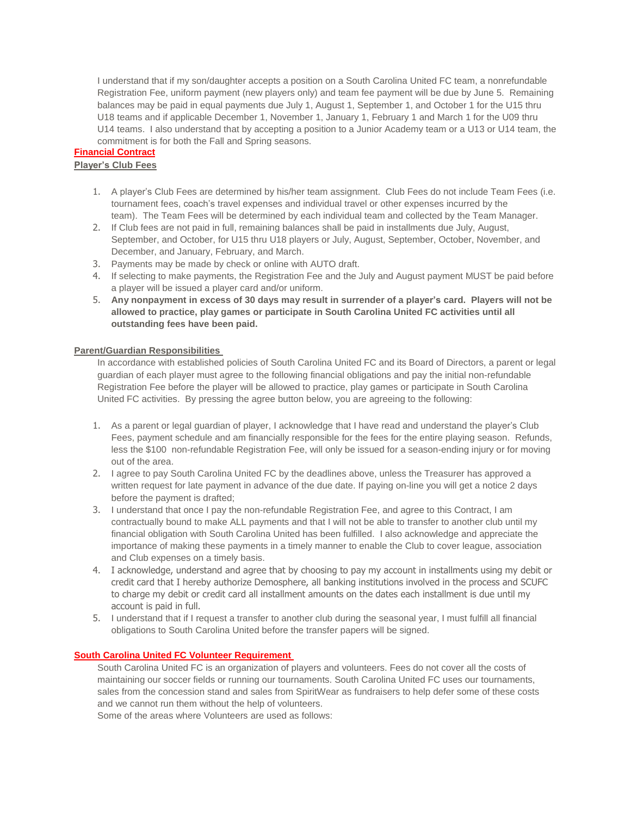I understand that if my son/daughter accepts a position on a South Carolina United FC team, a nonrefundable Registration Fee, uniform payment (new players only) and team fee payment will be due by June 5. Remaining balances may be paid in equal payments due July 1, August 1, September 1, and October 1 for the U15 thru U18 teams and if applicable December 1, November 1, January 1, February 1 and March 1 for the U09 thru U14 teams. I also understand that by accepting a position to a Junior Academy team or a U13 or U14 team, the commitment is for both the Fall and Spring seasons.

# **Financial Contract**

# **Player's Club Fees**

- 1. A player's Club Fees are determined by his/her team assignment. Club Fees do not include Team Fees (i.e. tournament fees, coach's travel expenses and individual travel or other expenses incurred by the team). The Team Fees will be determined by each individual team and collected by the Team Manager.
- 2. If Club fees are not paid in full, remaining balances shall be paid in installments due July, August, September, and October, for U15 thru U18 players or July, August, September, October, November, and December, and January, February, and March.
- 3. Payments may be made by check or online with AUTO draft.
- 4. If selecting to make payments, the Registration Fee and the July and August payment MUST be paid before a player will be issued a player card and/or uniform.
- 5. Any nonpayment in excess of 30 days may result in surrender of a player's card. Players will not be **allowed to practice, play games or participate in South Carolina United FC activities until all outstanding fees have been paid.**

# **Parent/Guardian Responsibilities**

In accordance with established policies of South Carolina United FC and its Board of Directors, a parent or legal guardian of each player must agree to the following financial obligations and pay the initial non-refundable Registration Fee before the player will be allowed to practice, play games or participate in South Carolina United FC activities. By pressing the agree button below, you are agreeing to the following:

- 1. As a parent or legal guardian of player, I acknowledge that I have read and understand the player's Club Fees, payment schedule and am financially responsible for the fees for the entire playing season. Refunds, less the \$100 non-refundable Registration Fee, will only be issued for a season-ending injury or for moving out of the area.
- 2. I agree to pay South Carolina United FC by the deadlines above, unless the Treasurer has approved a written request for late payment in advance of the due date. If paying on-line you will get a notice 2 days before the payment is drafted;
- 3. I understand that once I pay the non-refundable Registration Fee, and agree to this Contract, I am contractually bound to make ALL payments and that I will not be able to transfer to another club until my financial obligation with South Carolina United has been fulfilled. I also acknowledge and appreciate the importance of making these payments in a timely manner to enable the Club to cover league, association and Club expenses on a timely basis.
- 4. I acknowledge, understand and agree that by choosing to pay my account in installments using my debit or credit card that I hereby authorize Demosphere, all banking institutions involved in the process and SCUFC to charge my debit or credit card all installment amounts on the dates each installment is due until my account is paid in full.
- 5. I understand that if I request a transfer to another club during the seasonal year, I must fulfill all financial obligations to South Carolina United before the transfer papers will be signed.

# **South Carolina United FC Volunteer Requirement**

South Carolina United FC is an organization of players and volunteers. Fees do not cover all the costs of maintaining our soccer fields or running our tournaments. South Carolina United FC uses our tournaments, sales from the concession stand and sales from SpiritWear as fundraisers to help defer some of these costs and we cannot run them without the help of volunteers.

Some of the areas where Volunteers are used as follows: